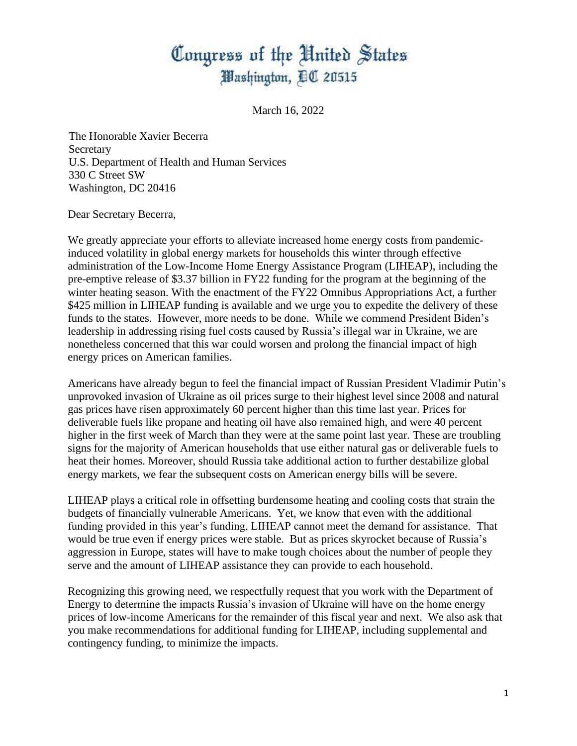## Congress of the United States Washington, DC 20515

March 16, 2022

The Honorable Xavier Becerra **Secretary** U.S. Department of Health and Human Services 330 C Street SW Washington, DC 20416

Dear Secretary Becerra,

We greatly appreciate your efforts to alleviate increased home energy costs from pandemicinduced volatility in global energy markets for households this winter through effective administration of the Low-Income Home Energy Assistance Program (LIHEAP), including the pre-emptive release of \$3.37 billion in FY22 funding for the program at the beginning of the winter heating season. With the enactment of the FY22 Omnibus Appropriations Act, a further \$425 million in LIHEAP funding is available and we urge you to expedite the delivery of these funds to the states. However, more needs to be done. While we commend President Biden's leadership in addressing rising fuel costs caused by Russia's illegal war in Ukraine, we are nonetheless concerned that this war could worsen and prolong the financial impact of high energy prices on American families.

Americans have already begun to feel the financial impact of Russian President Vladimir Putin's unprovoked invasion of Ukraine as oil prices surge to their highest level since 2008 and natural gas prices have risen approximately 60 percent higher than this time last year. Prices for deliverable fuels like propane and heating oil have also remained high, and were 40 percent higher in the first week of March than they were at the same point last year. These are troubling signs for the majority of American households that use either natural gas or deliverable fuels to heat their homes. Moreover, should Russia take additional action to further destabilize global energy markets, we fear the subsequent costs on American energy bills will be severe.

LIHEAP plays a critical role in offsetting burdensome heating and cooling costs that strain the budgets of financially vulnerable Americans. Yet, we know that even with the additional funding provided in this year's funding, LIHEAP cannot meet the demand for assistance. That would be true even if energy prices were stable. But as prices skyrocket because of Russia's aggression in Europe, states will have to make tough choices about the number of people they serve and the amount of LIHEAP assistance they can provide to each household.

Recognizing this growing need, we respectfully request that you work with the Department of Energy to determine the impacts Russia's invasion of Ukraine will have on the home energy prices of low-income Americans for the remainder of this fiscal year and next. We also ask that you make recommendations for additional funding for LIHEAP, including supplemental and contingency funding, to minimize the impacts.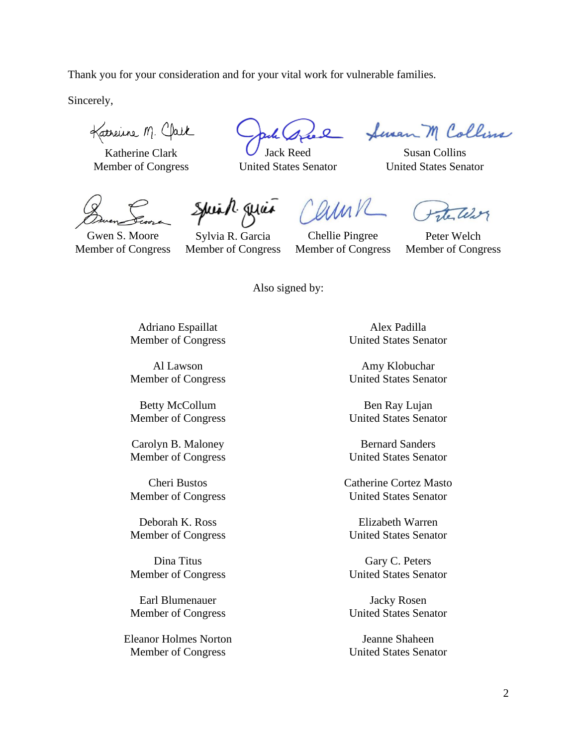Thank you for your consideration and for your vital work for vulnerable families.

Sincerely,

Katherine M. Clark

 $K$ atherine Clark  $\bigcup$  Jack Reed Susan Collins

Member of Congress United States Senator United States Senator

arink

Seven M Collins

Gwen S. Moore Member of Congress

Sylvia R. Garcia Member of Congress

Spink quan

Chellie Pingree Member of Congress

Peter Welch Member of Congress

Also signed by:

Adriano Espaillat Member of Congress

Al Lawson Member of Congress

Betty McCollum Member of Congress

Carolyn B. Maloney Member of Congress

Cheri Bustos Member of Congress

Deborah K. Ross Member of Congress

Dina Titus Member of Congress

Earl Blumenauer Member of Congress

Eleanor Holmes Norton Member of Congress

Alex Padilla United States Senator

Amy Klobuchar United States Senator

Ben Ray Lujan United States Senator

Bernard Sanders United States Senator

Catherine Cortez Masto United States Senator

Elizabeth Warren United States Senator

Gary C. Peters United States Senator

Jacky Rosen United States Senator

Jeanne Shaheen United States Senator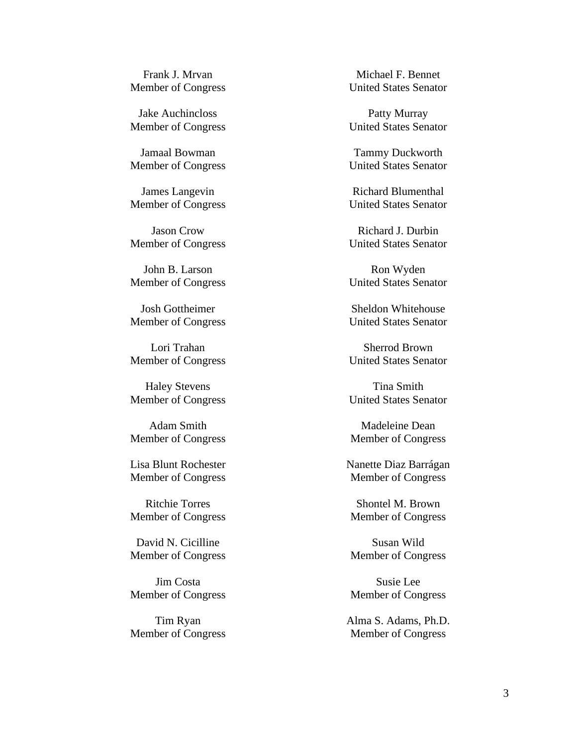Frank J. Mrvan Member of Congress

Jake Auchincloss Member of Congress

Jamaal Bowman Member of Congress

James Langevin Member of Congress

Jason Crow Member of Congress

John B. Larson Member of Congress

Josh Gottheimer Member of Congress

Lori Trahan Member of Congress

Haley Stevens Member of Congress

Adam Smith Member of Congress

Lisa Blunt Rochester Member of Congress

Ritchie Torres Member of Congress

David N. Cicilline Member of Congress

Jim Costa Member of Congress

Tim Ryan Member of Congress

Michael F. Bennet United States Senator

Patty Murray United States Senator

Tammy Duckworth United States Senator

Richard Blumenthal United States Senator

Richard J. Durbin United States Senator

Ron Wyden United States Senator

Sheldon Whitehouse United States Senator

Sherrod Brown United States Senator

Tina Smith United States Senator

Madeleine Dean Member of Congress

Nanette Diaz Barrágan Member of Congress

Shontel M. Brown Member of Congress

Susan Wild Member of Congress

Susie Lee Member of Congress

Alma S. Adams, Ph.D. Member of Congress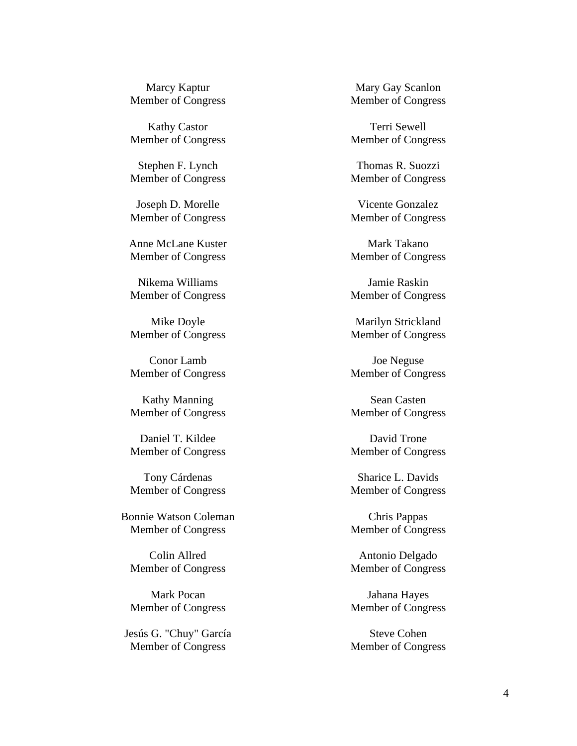Marcy Kaptur Member of Congress

Kathy Castor Member of Congress

Stephen F. Lynch Member of Congress

Joseph D. Morelle Member of Congress

Anne McLane Kuster Member of Congress

Nikema Williams Member of Congress

Mike Doyle Member of Congress

Conor Lamb Member of Congress

Kathy Manning Member of Congress

Daniel T. Kildee Member of Congress

Tony Cárdenas Member of Congress

Bonnie Watson Coleman Member of Congress

Colin Allred Member of Congress

Mark Pocan Member of Congress

Jesús G. "Chuy" García Member of Congress

Mary Gay Scanlon Member of Congress

Terri Sewell Member of Congress

Thomas R. Suozzi Member of Congress

Vicente Gonzalez Member of Congress

Mark Takano Member of Congress

Jamie Raskin Member of Congress

Marilyn Strickland Member of Congress

Joe Neguse Member of Congress

Sean Casten Member of Congress

David Trone Member of Congress

Sharice L. Davids Member of Congress

Chris Pappas Member of Congress

Antonio Delgado Member of Congress

Jahana Hayes Member of Congress

Steve Cohen Member of Congress